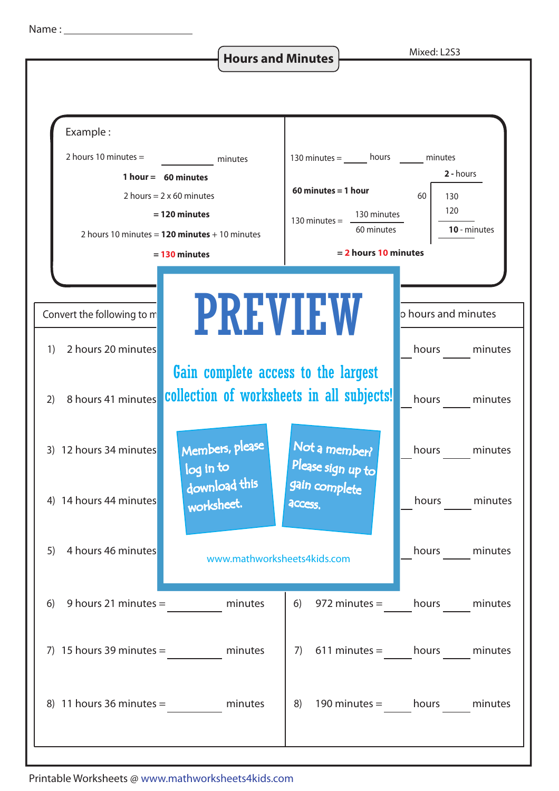**Hours and Minutes Mixed: L2S3** 



Printable Worksheets @ www.mathworksheets4kids.com